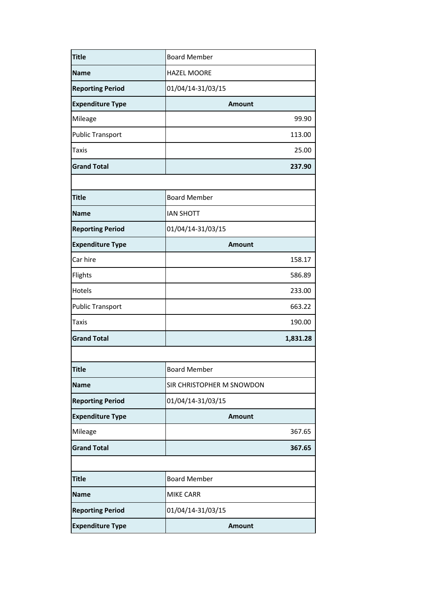| <b>Title</b>            | <b>Board Member</b>       |
|-------------------------|---------------------------|
| Name                    | <b>HAZEL MOORE</b>        |
| <b>Reporting Period</b> | 01/04/14-31/03/15         |
| <b>Expenditure Type</b> | <b>Amount</b>             |
| Mileage                 | 99.90                     |
| <b>Public Transport</b> | 113.00                    |
| Taxis                   | 25.00                     |
| <b>Grand Total</b>      | 237.90                    |
|                         |                           |
| <b>Title</b>            | <b>Board Member</b>       |
| <b>Name</b>             | <b>IAN SHOTT</b>          |
| <b>Reporting Period</b> | 01/04/14-31/03/15         |
| <b>Expenditure Type</b> | <b>Amount</b>             |
| Car hire                | 158.17                    |
| Flights                 | 586.89                    |
| Hotels                  | 233.00                    |
| <b>Public Transport</b> | 663.22                    |
| Taxis                   | 190.00                    |
| <b>Grand Total</b>      | 1,831.28                  |
|                         |                           |
| <b>Title</b>            | <b>Board Member</b>       |
| <b>Name</b>             | SIR CHRISTOPHER M SNOWDON |
| <b>Reporting Period</b> | 01/04/14-31/03/15         |
| <b>Expenditure Type</b> | <b>Amount</b>             |
| Mileage                 | 367.65                    |
| <b>Grand Total</b>      | 367.65                    |
|                         |                           |
| <b>Title</b>            | <b>Board Member</b>       |
| Name                    | <b>MIKE CARR</b>          |
| <b>Reporting Period</b> | 01/04/14-31/03/15         |
| <b>Expenditure Type</b> | <b>Amount</b>             |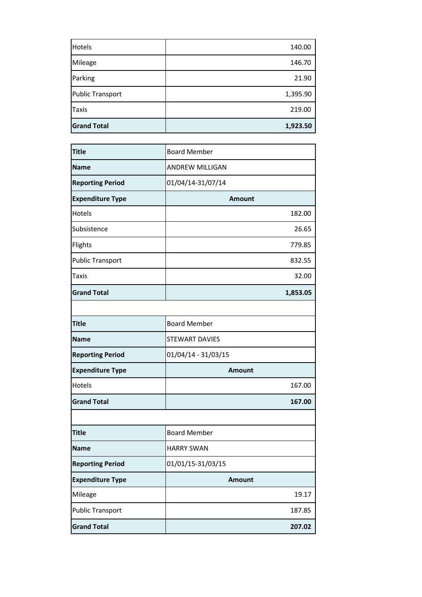| <b>Grand Total</b> | 1,923.50 |
|--------------------|----------|
| <b>Taxis</b>       | 219.00   |
| Public Transport   | 1,395.90 |
| Parking            | 21.90    |
| Mileage            | 146.70   |
| <b>Hotels</b>      | 140.00   |

| <b>Title</b>            | <b>Board Member</b>    |
|-------------------------|------------------------|
| Name                    | <b>ANDREW MILLIGAN</b> |
| <b>Reporting Period</b> | 01/04/14-31/07/14      |
| <b>Expenditure Type</b> | Amount                 |
| Hotels                  | 182.00                 |
| Subsistence             | 26.65                  |
| Flights                 | 779.85                 |
| <b>Public Transport</b> | 832.55                 |
| Taxis                   | 32.00                  |
| <b>Grand Total</b>      | 1,853.05               |
|                         |                        |
| <b>Title</b>            | <b>Board Member</b>    |
| <b>Name</b>             | <b>STEWART DAVIES</b>  |
| <b>Reporting Period</b> | 01/04/14 - 31/03/15    |
| <b>Expenditure Type</b> | <b>Amount</b>          |
| Hotels                  | 167.00                 |
| <b>Grand Total</b>      | 167.00                 |
|                         |                        |
| <b>Title</b>            | <b>Board Member</b>    |
| <b>Name</b>             | <b>HARRY SWAN</b>      |
| <b>Reporting Period</b> | 01/01/15-31/03/15      |
| <b>Expenditure Type</b> | <b>Amount</b>          |
| Mileage                 | 19.17                  |
| <b>Public Transport</b> | 187.85                 |
| <b>Grand Total</b>      | 207.02                 |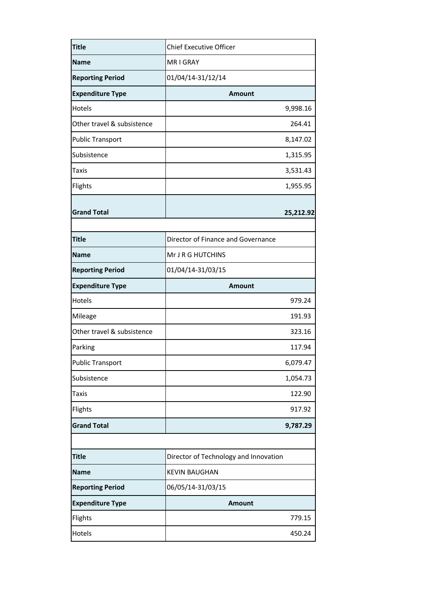| <b>Title</b>               | <b>Chief Executive Officer</b>        |           |
|----------------------------|---------------------------------------|-----------|
| <b>Name</b>                | MR I GRAY                             |           |
| <b>Reporting Period</b>    | 01/04/14-31/12/14                     |           |
| <b>Expenditure Type</b>    | <b>Amount</b>                         |           |
| Hotels                     |                                       | 9,998.16  |
| Other travel & subsistence |                                       | 264.41    |
| <b>Public Transport</b>    |                                       | 8,147.02  |
| Subsistence                |                                       | 1,315.95  |
| Taxis                      |                                       | 3,531.43  |
| Flights                    |                                       | 1,955.95  |
|                            |                                       |           |
| <b>Grand Total</b>         |                                       | 25,212.92 |
| <b>Title</b>               | Director of Finance and Governance    |           |
| <b>Name</b>                | Mr J R G HUTCHINS                     |           |
| <b>Reporting Period</b>    | 01/04/14-31/03/15                     |           |
| <b>Expenditure Type</b>    | <b>Amount</b>                         |           |
| Hotels                     |                                       | 979.24    |
| Mileage                    |                                       | 191.93    |
| Other travel & subsistence |                                       | 323.16    |
| Parking                    |                                       | 117.94    |
| <b>Public Transport</b>    |                                       | 6,079.47  |
| Subsistence                |                                       | 1,054.73  |
| Taxis                      |                                       | 122.90    |
| Flights                    |                                       | 917.92    |
| <b>Grand Total</b>         |                                       | 9,787.29  |
|                            |                                       |           |
| <b>Title</b>               | Director of Technology and Innovation |           |
| <b>Name</b>                | <b>KEVIN BAUGHAN</b>                  |           |
| <b>Reporting Period</b>    | 06/05/14-31/03/15                     |           |
| <b>Expenditure Type</b>    | <b>Amount</b>                         |           |
| Flights                    |                                       | 779.15    |
| Hotels                     |                                       | 450.24    |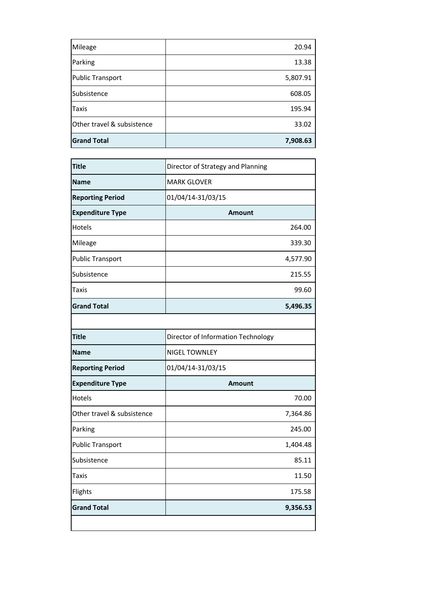| Mileage                    | 20.94    |
|----------------------------|----------|
| Parking                    | 13.38    |
| <b>Public Transport</b>    | 5,807.91 |
| Subsistence                | 608.05   |
| Taxis                      | 195.94   |
| Other travel & subsistence | 33.02    |
| <b>Grand Total</b>         | 7,908.63 |

| <b>Title</b>               | Director of Strategy and Planning  |          |
|----------------------------|------------------------------------|----------|
| <b>Name</b>                | <b>MARK GLOVER</b>                 |          |
| <b>Reporting Period</b>    | 01/04/14-31/03/15                  |          |
| <b>Expenditure Type</b>    | <b>Amount</b>                      |          |
| Hotels                     |                                    | 264.00   |
| Mileage                    |                                    | 339.30   |
| <b>Public Transport</b>    |                                    | 4,577.90 |
| Subsistence                |                                    | 215.55   |
| Taxis                      |                                    | 99.60    |
| <b>Grand Total</b>         |                                    | 5,496.35 |
|                            |                                    |          |
| <b>Title</b>               | Director of Information Technology |          |
| <b>Name</b>                | <b>NIGEL TOWNLEY</b>               |          |
| <b>Reporting Period</b>    | 01/04/14-31/03/15                  |          |
| <b>Expenditure Type</b>    | <b>Amount</b>                      |          |
| Hotels                     |                                    | 70.00    |
| Other travel & subsistence |                                    | 7,364.86 |
| Parking                    |                                    | 245.00   |
| <b>Public Transport</b>    |                                    | 1,404.48 |
| Subsistence                |                                    | 85.11    |
| <b>Taxis</b>               |                                    | 11.50    |
| Flights                    |                                    | 175.58   |
| <b>Grand Total</b>         |                                    | 9,356.53 |
|                            |                                    |          |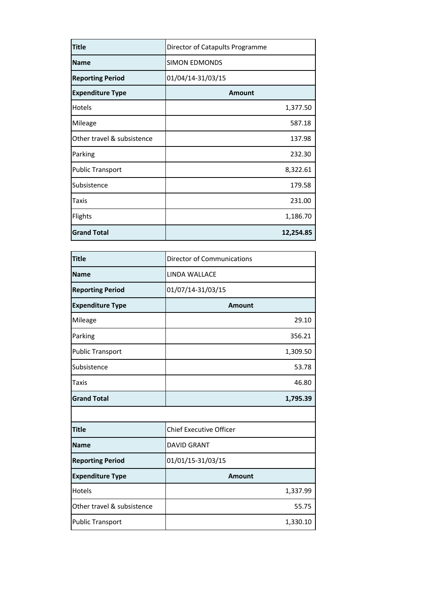| <b>Title</b>               | Director of Catapults Programme |
|----------------------------|---------------------------------|
| <b>Name</b>                | <b>SIMON EDMONDS</b>            |
| <b>Reporting Period</b>    | 01/04/14-31/03/15               |
| <b>Expenditure Type</b>    | <b>Amount</b>                   |
| Hotels                     | 1,377.50                        |
| Mileage                    | 587.18                          |
| Other travel & subsistence | 137.98                          |
| Parking                    | 232.30                          |
| <b>Public Transport</b>    | 8,322.61                        |
| Subsistence                | 179.58                          |
| Taxis                      | 231.00                          |
| Flights                    | 1,186.70                        |
| <b>Grand Total</b>         | 12,254.85                       |

| <b>Title</b>               | <b>Director of Communications</b> |
|----------------------------|-----------------------------------|
| <b>Name</b>                | <b>LINDA WALLACE</b>              |
| <b>Reporting Period</b>    | 01/07/14-31/03/15                 |
| <b>Expenditure Type</b>    | <b>Amount</b>                     |
| Mileage                    | 29.10                             |
| Parking                    | 356.21                            |
| <b>Public Transport</b>    | 1,309.50                          |
| Subsistence                | 53.78                             |
| Taxis                      | 46.80                             |
|                            |                                   |
| <b>Grand Total</b>         | 1,795.39                          |
|                            |                                   |
| <b>Title</b>               | <b>Chief Executive Officer</b>    |
| <b>Name</b>                | <b>DAVID GRANT</b>                |
| <b>Reporting Period</b>    | 01/01/15-31/03/15                 |
| <b>Expenditure Type</b>    | <b>Amount</b>                     |
| Hotels                     | 1,337.99                          |
| Other travel & subsistence | 55.75                             |